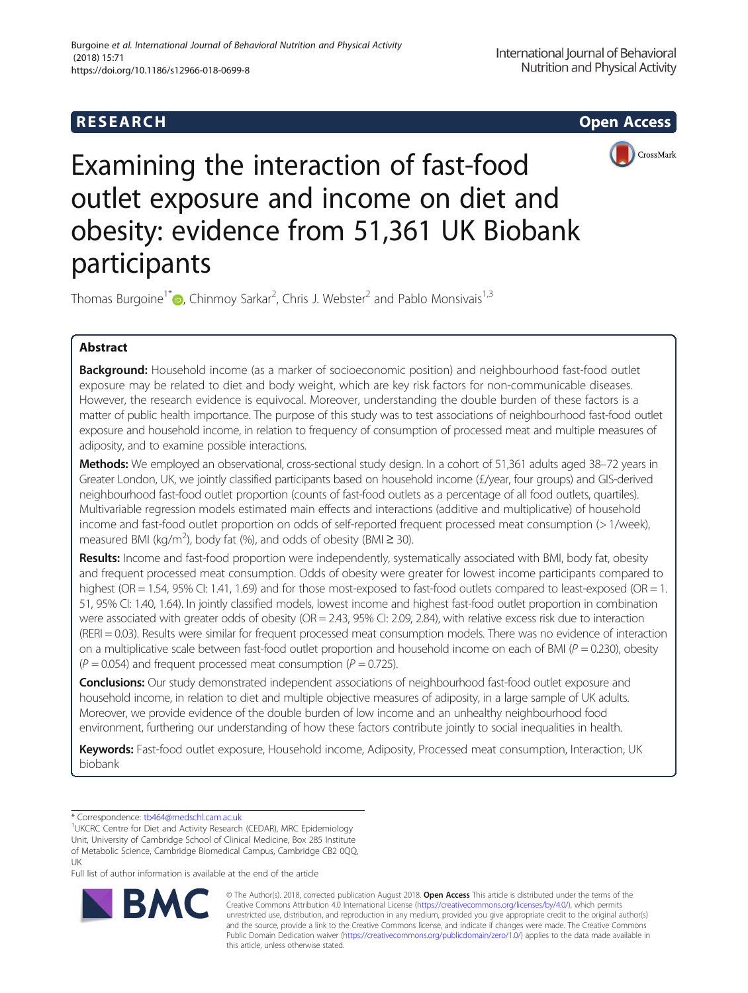## **RESEARCH CHEAR CHEAR CHEAR CHEAR CHEAR CHEAR CHEAR CHEAR CHEAR CHEAR CHEAR CHEAR CHEAR CHEAR CHEAR CHEAR CHEAR**





# Examining the interaction of fast-food outlet exposure and income on diet and obesity: evidence from 51,361 UK Biobank participants

Thomas Burgoine<sup>1[\\*](http://orcid.org/0000-0001-6936-3801)</sup> $\bullet$ , Chinmoy Sarkar<sup>2</sup>, Chris J. Webster<sup>2</sup> and Pablo Monsivais<sup>1,3</sup>

## Abstract

Background: Household income (as a marker of socioeconomic position) and neighbourhood fast-food outlet exposure may be related to diet and body weight, which are key risk factors for non-communicable diseases. However, the research evidence is equivocal. Moreover, understanding the double burden of these factors is a matter of public health importance. The purpose of this study was to test associations of neighbourhood fast-food outlet exposure and household income, in relation to frequency of consumption of processed meat and multiple measures of adiposity, and to examine possible interactions.

Methods: We employed an observational, cross-sectional study design. In a cohort of 51,361 adults aged 38-72 years in Greater London, UK, we jointly classified participants based on household income (£/year, four groups) and GIS-derived neighbourhood fast-food outlet proportion (counts of fast-food outlets as a percentage of all food outlets, quartiles). Multivariable regression models estimated main effects and interactions (additive and multiplicative) of household income and fast-food outlet proportion on odds of self-reported frequent processed meat consumption (> 1/week), measured BMI (kg/m<sup>2</sup>), body fat (%), and odds of obesity (BMI  $\geq$  30).

Results: Income and fast-food proportion were independently, systematically associated with BMI, body fat, obesity and frequent processed meat consumption. Odds of obesity were greater for lowest income participants compared to highest (OR = 1.54, 95% CI: 1.41, 1.69) and for those most-exposed to fast-food outlets compared to least-exposed (OR = 1. 51, 95% CI: 1.40, 1.64). In jointly classified models, lowest income and highest fast-food outlet proportion in combination were associated with greater odds of obesity (OR = 2.43, 95% CI: 2.09, 2.84), with relative excess risk due to interaction (RERI = 0.03). Results were similar for frequent processed meat consumption models. There was no evidence of interaction on a multiplicative scale between fast-food outlet proportion and household income on each of BMI ( $P = 0.230$ ), obesity  $(P = 0.054)$  and frequent processed meat consumption ( $P = 0.725$ ).

**Conclusions:** Our study demonstrated independent associations of neighbourhood fast-food outlet exposure and household income, in relation to diet and multiple objective measures of adiposity, in a large sample of UK adults. Moreover, we provide evidence of the double burden of low income and an unhealthy neighbourhood food environment, furthering our understanding of how these factors contribute jointly to social inequalities in health.

Keywords: Fast-food outlet exposure, Household income, Adiposity, Processed meat consumption, Interaction, UK biobank

<sup>1</sup>UKCRC Centre for Diet and Activity Research (CEDAR), MRC Epidemiology Unit, University of Cambridge School of Clinical Medicine, Box 285 Institute of Metabolic Science, Cambridge Biomedical Campus, Cambridge CB2 0QQ, UK

Full list of author information is available at the end of the article



© The Author(s). 2018, corrected publication August 2018. Open Access This article is distributed under the terms of the Creative Commons Attribution 4.0 International License [\(https://creativecommons.org/licenses/by/4.0/\)](http://creativecommons.org/licenses/by/4.0/), which permits unrestricted use, distribution, and reproduction in any medium, provided you give appropriate credit to the original author(s) and the source, provide a link to the Creative Commons license, and indicate if changes were made. The Creative Commons Public Domain Dedication waiver [\(https://creativecommons.org/publicdomain/zero/1.0/\)](http://creativecommons.org/publicdomain/zero/1.0/) applies to the data made available in this article, unless otherwise stated.

<sup>\*</sup> Correspondence: [tb464@medschl.cam.ac.uk](mailto:tb464@medschl.cam.ac.uk) <sup>1</sup>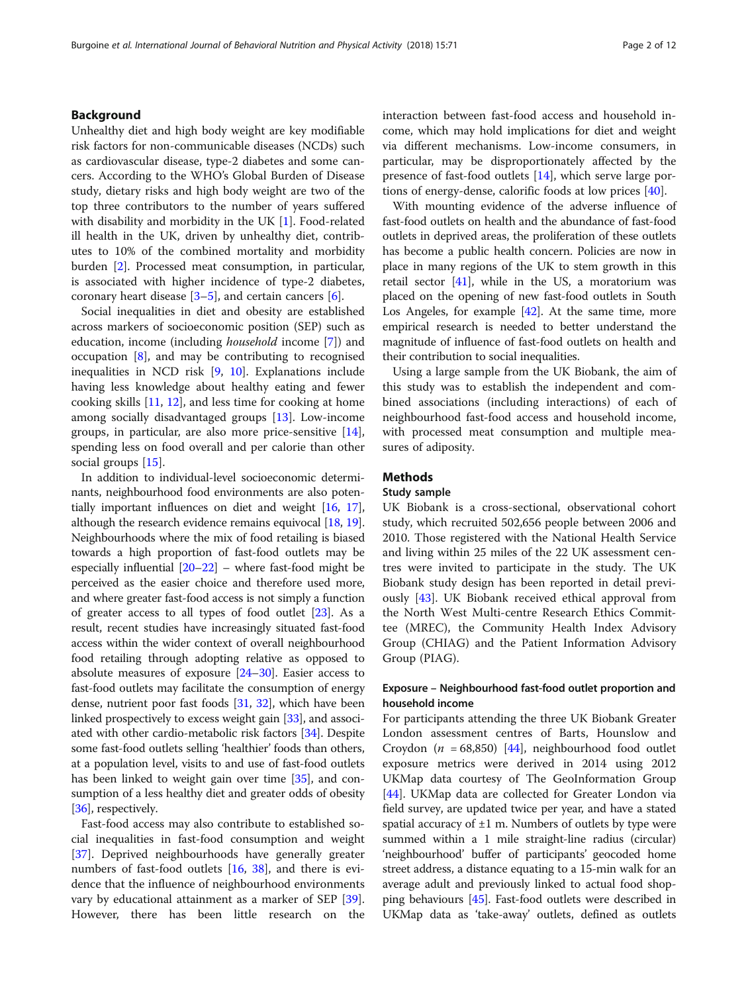## Background

Unhealthy diet and high body weight are key modifiable risk factors for non-communicable diseases (NCDs) such as cardiovascular disease, type-2 diabetes and some cancers. According to the WHO's Global Burden of Disease study, dietary risks and high body weight are two of the top three contributors to the number of years suffered with disability and morbidity in the UK [\[1](#page-9-0)]. Food-related ill health in the UK, driven by unhealthy diet, contributes to 10% of the combined mortality and morbidity burden [\[2](#page-9-0)]. Processed meat consumption, in particular, is associated with higher incidence of type-2 diabetes, coronary heart disease  $[3-5]$  $[3-5]$  $[3-5]$  $[3-5]$ , and certain cancers  $[6]$  $[6]$ .

Social inequalities in diet and obesity are established across markers of socioeconomic position (SEP) such as education, income (including household income [[7\]](#page-9-0)) and occupation [\[8](#page-9-0)], and may be contributing to recognised inequalities in NCD risk [[9,](#page-9-0) [10\]](#page-9-0). Explanations include having less knowledge about healthy eating and fewer cooking skills [\[11,](#page-9-0) [12\]](#page-9-0), and less time for cooking at home among socially disadvantaged groups [[13\]](#page-9-0). Low-income groups, in particular, are also more price-sensitive [\[14](#page-9-0)], spending less on food overall and per calorie than other social groups [\[15](#page-9-0)].

In addition to individual-level socioeconomic determinants, neighbourhood food environments are also potentially important influences on diet and weight [\[16,](#page-9-0) [17](#page-9-0)], although the research evidence remains equivocal [\[18,](#page-9-0) [19](#page-9-0)]. Neighbourhoods where the mix of food retailing is biased towards a high proportion of fast-food outlets may be especially influential [\[20](#page-9-0)–[22\]](#page-10-0) – where fast-food might be perceived as the easier choice and therefore used more, and where greater fast-food access is not simply a function of greater access to all types of food outlet [[23\]](#page-10-0). As a result, recent studies have increasingly situated fast-food access within the wider context of overall neighbourhood food retailing through adopting relative as opposed to absolute measures of exposure [[24](#page-10-0)–[30\]](#page-10-0). Easier access to fast-food outlets may facilitate the consumption of energy dense, nutrient poor fast foods [[31,](#page-10-0) [32\]](#page-10-0), which have been linked prospectively to excess weight gain [[33](#page-10-0)], and associated with other cardio-metabolic risk factors [[34](#page-10-0)]. Despite some fast-food outlets selling 'healthier' foods than others, at a population level, visits to and use of fast-food outlets has been linked to weight gain over time [[35](#page-10-0)], and consumption of a less healthy diet and greater odds of obesity [[36](#page-10-0)], respectively.

Fast-food access may also contribute to established social inequalities in fast-food consumption and weight [[37\]](#page-10-0). Deprived neighbourhoods have generally greater numbers of fast-food outlets [[16](#page-9-0), [38\]](#page-10-0), and there is evidence that the influence of neighbourhood environments vary by educational attainment as a marker of SEP [\[39](#page-10-0)]. However, there has been little research on the interaction between fast-food access and household income, which may hold implications for diet and weight via different mechanisms. Low-income consumers, in particular, may be disproportionately affected by the presence of fast-food outlets [[14\]](#page-9-0), which serve large portions of energy-dense, calorific foods at low prices [\[40\]](#page-10-0).

With mounting evidence of the adverse influence of fast-food outlets on health and the abundance of fast-food outlets in deprived areas, the proliferation of these outlets has become a public health concern. Policies are now in place in many regions of the UK to stem growth in this retail sector  $[41]$  $[41]$  $[41]$ , while in the US, a moratorium was placed on the opening of new fast-food outlets in South Los Angeles, for example [\[42\]](#page-10-0). At the same time, more empirical research is needed to better understand the magnitude of influence of fast-food outlets on health and their contribution to social inequalities.

Using a large sample from the UK Biobank, the aim of this study was to establish the independent and combined associations (including interactions) of each of neighbourhood fast-food access and household income, with processed meat consumption and multiple measures of adiposity.

## Methods

#### Study sample

UK Biobank is a cross-sectional, observational cohort study, which recruited 502,656 people between 2006 and 2010. Those registered with the National Health Service and living within 25 miles of the 22 UK assessment centres were invited to participate in the study. The UK Biobank study design has been reported in detail previously [[43](#page-10-0)]. UK Biobank received ethical approval from the North West Multi-centre Research Ethics Committee (MREC), the Community Health Index Advisory Group (CHIAG) and the Patient Information Advisory Group (PIAG).

## Exposure – Neighbourhood fast-food outlet proportion and household income

For participants attending the three UK Biobank Greater London assessment centres of Barts, Hounslow and Croydon ( $n = 68,850$ ) [\[44](#page-10-0)], neighbourhood food outlet exposure metrics were derived in 2014 using 2012 UKMap data courtesy of The GeoInformation Group [[44\]](#page-10-0). UKMap data are collected for Greater London via field survey, are updated twice per year, and have a stated spatial accuracy of  $\pm 1$  m. Numbers of outlets by type were summed within a 1 mile straight-line radius (circular) 'neighbourhood' buffer of participants' geocoded home street address, a distance equating to a 15-min walk for an average adult and previously linked to actual food shopping behaviours [\[45\]](#page-10-0). Fast-food outlets were described in UKMap data as 'take-away' outlets, defined as outlets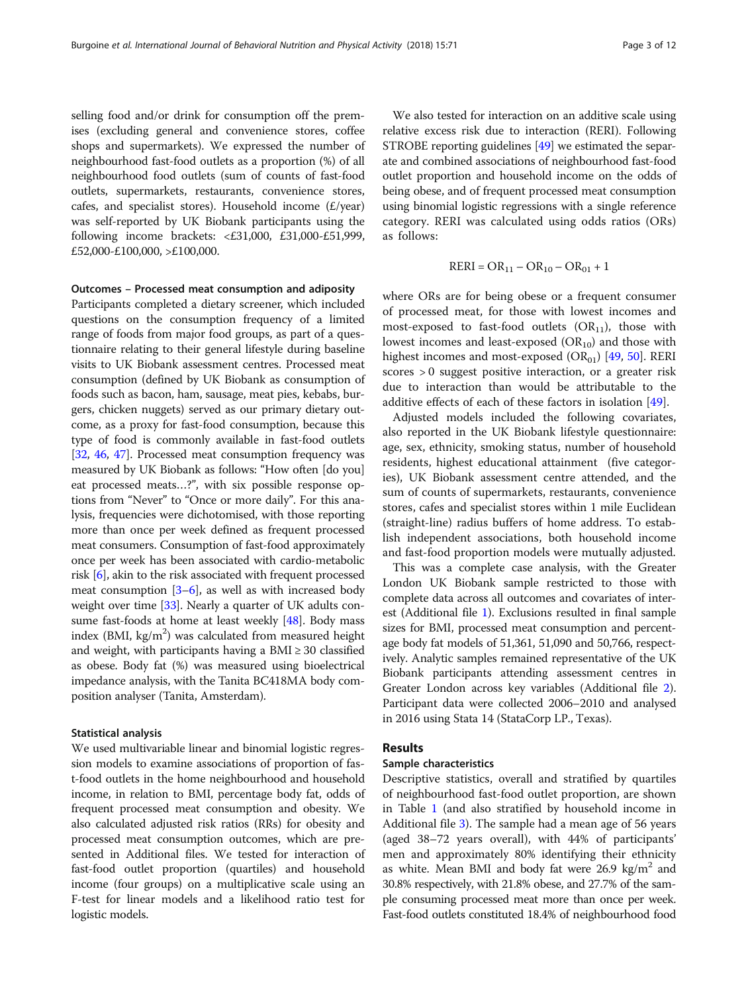selling food and/or drink for consumption off the premises (excluding general and convenience stores, coffee shops and supermarkets). We expressed the number of neighbourhood fast-food outlets as a proportion (%) of all neighbourhood food outlets (sum of counts of fast-food outlets, supermarkets, restaurants, convenience stores, cafes, and specialist stores). Household income  $(E/\text{year})$ was self-reported by UK Biobank participants using the following income brackets: <£31,000, £31,000-£51,999, £52,000-£100,000, >£100,000.

## Outcomes – Processed meat consumption and adiposity

Participants completed a dietary screener, which included questions on the consumption frequency of a limited range of foods from major food groups, as part of a questionnaire relating to their general lifestyle during baseline visits to UK Biobank assessment centres. Processed meat consumption (defined by UK Biobank as consumption of foods such as bacon, ham, sausage, meat pies, kebabs, burgers, chicken nuggets) served as our primary dietary outcome, as a proxy for fast-food consumption, because this type of food is commonly available in fast-food outlets [[32](#page-10-0), [46,](#page-10-0) [47](#page-10-0)]. Processed meat consumption frequency was measured by UK Biobank as follows: "How often [do you] eat processed meats…?", with six possible response options from "Never" to "Once or more daily". For this analysis, frequencies were dichotomised, with those reporting more than once per week defined as frequent processed meat consumers. Consumption of fast-food approximately once per week has been associated with cardio-metabolic risk [[6\]](#page-9-0), akin to the risk associated with frequent processed meat consumption  $[3-6]$  $[3-6]$  $[3-6]$  $[3-6]$ , as well as with increased body weight over time [[33](#page-10-0)]. Nearly a quarter of UK adults consume fast-foods at home at least weekly [\[48\]](#page-10-0). Body mass index (BMI, kg/m<sup>2</sup>) was calculated from measured height and weight, with participants having a  $BMI \geq 30$  classified as obese. Body fat (%) was measured using bioelectrical impedance analysis, with the Tanita BC418MA body composition analyser (Tanita, Amsterdam).

#### Statistical analysis

We used multivariable linear and binomial logistic regression models to examine associations of proportion of fast-food outlets in the home neighbourhood and household income, in relation to BMI, percentage body fat, odds of frequent processed meat consumption and obesity. We also calculated adjusted risk ratios (RRs) for obesity and processed meat consumption outcomes, which are presented in Additional files. We tested for interaction of fast-food outlet proportion (quartiles) and household income (four groups) on a multiplicative scale using an F-test for linear models and a likelihood ratio test for logistic models.

We also tested for interaction on an additive scale using relative excess risk due to interaction (RERI). Following STROBE reporting guidelines [[49\]](#page-10-0) we estimated the separate and combined associations of neighbourhood fast-food outlet proportion and household income on the odds of being obese, and of frequent processed meat consumption using binomial logistic regressions with a single reference category. RERI was calculated using odds ratios (ORs) as follows:

$$
RERI = OR_{11} - OR_{10} - OR_{01} + 1
$$

where ORs are for being obese or a frequent consumer of processed meat, for those with lowest incomes and most-exposed to fast-food outlets  $(OR_{11})$ , those with lowest incomes and least-exposed  $(OR_{10})$  and those with highest incomes and most-exposed  $(OR<sub>01</sub>)$  [[49,](#page-10-0) [50](#page-10-0)]. RERI scores > 0 suggest positive interaction, or a greater risk due to interaction than would be attributable to the additive effects of each of these factors in isolation [[49\]](#page-10-0).

Adjusted models included the following covariates, also reported in the UK Biobank lifestyle questionnaire: age, sex, ethnicity, smoking status, number of household residents, highest educational attainment (five categories), UK Biobank assessment centre attended, and the sum of counts of supermarkets, restaurants, convenience stores, cafes and specialist stores within 1 mile Euclidean (straight-line) radius buffers of home address. To establish independent associations, both household income and fast-food proportion models were mutually adjusted.

This was a complete case analysis, with the Greater London UK Biobank sample restricted to those with complete data across all outcomes and covariates of interest (Additional file [1\)](#page-8-0). Exclusions resulted in final sample sizes for BMI, processed meat consumption and percentage body fat models of 51,361, 51,090 and 50,766, respectively. Analytic samples remained representative of the UK Biobank participants attending assessment centres in Greater London across key variables (Additional file [2](#page-8-0)). Participant data were collected 2006–2010 and analysed in 2016 using Stata 14 (StataCorp LP., Texas).

## Results

## Sample characteristics

Descriptive statistics, overall and stratified by quartiles of neighbourhood fast-food outlet proportion, are shown in Table [1](#page-3-0) (and also stratified by household income in Additional file [3\)](#page-8-0). The sample had a mean age of 56 years (aged 38–72 years overall), with 44% of participants' men and approximately 80% identifying their ethnicity as white. Mean BMI and body fat were  $26.9 \text{ kg/m}^2$  and 30.8% respectively, with 21.8% obese, and 27.7% of the sample consuming processed meat more than once per week. Fast-food outlets constituted 18.4% of neighbourhood food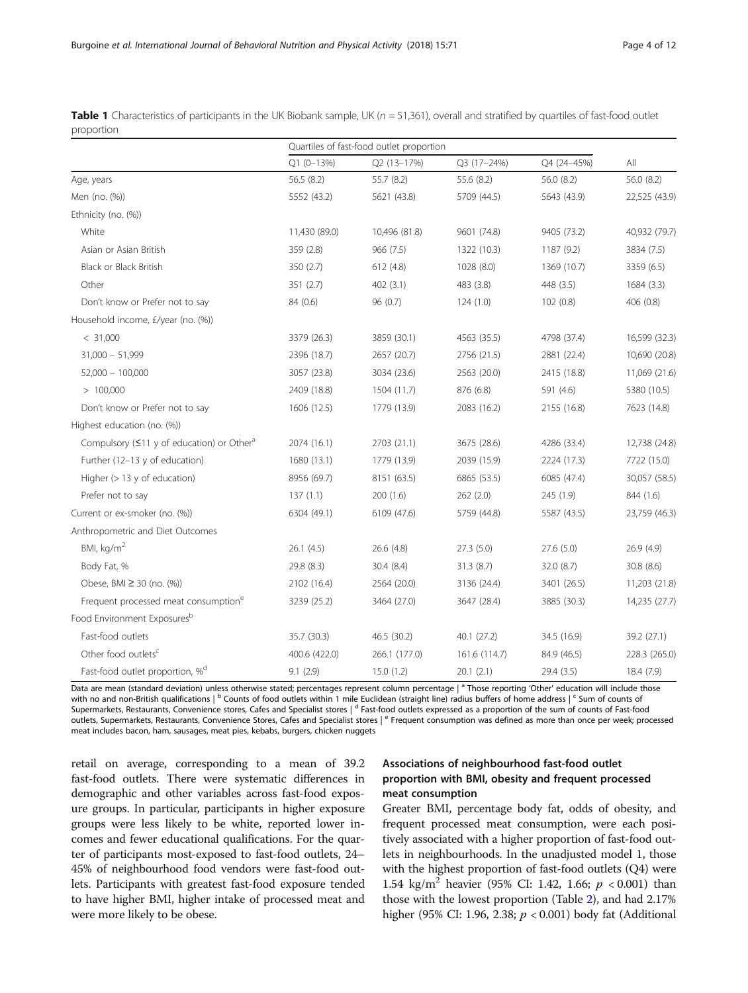|                                                              |               | Quartiles of fast-food outlet proportion |               |             |               |
|--------------------------------------------------------------|---------------|------------------------------------------|---------------|-------------|---------------|
|                                                              | $Q1(0-13%)$   | $Q2(13-17%)$                             | Q3 (17-24%)   | Q4 (24-45%) | All           |
| Age, years                                                   | 56.5 (8.2)    | 55.7 (8.2)                               | 55.6 (8.2)    | 56.0(8.2)   | 56.0 (8.2)    |
| Men (no. (%))                                                | 5552 (43.2)   | 5621 (43.8)                              | 5709 (44.5)   | 5643 (43.9) | 22,525 (43.9) |
| Ethnicity (no. (%))                                          |               |                                          |               |             |               |
| White                                                        | 11,430 (89.0) | 10,496 (81.8)                            | 9601 (74.8)   | 9405 (73.2) | 40,932 (79.7) |
| Asian or Asian British                                       | 359 (2.8)     | 966 (7.5)                                | 1322 (10.3)   | 1187 (9.2)  | 3834 (7.5)    |
| Black or Black British                                       | 350 (2.7)     | 612 (4.8)                                | 1028 (8.0)    | 1369 (10.7) | 3359 (6.5)    |
| Other                                                        | 351(2.7)      | 402(3.1)                                 | 483 (3.8)     | 448 (3.5)   | 1684(3.3)     |
| Don't know or Prefer not to say                              | 84 (0.6)      | 96(0.7)                                  | 124(1.0)      | 102(0.8)    | 406(0.8)      |
| Household income, £/year (no. (%))                           |               |                                          |               |             |               |
| < 31,000                                                     | 3379 (26.3)   | 3859 (30.1)                              | 4563 (35.5)   | 4798 (37.4) | 16,599 (32.3) |
| $31,000 - 51,999$                                            | 2396 (18.7)   | 2657 (20.7)                              | 2756 (21.5)   | 2881 (22.4) | 10,690 (20.8) |
| $52,000 - 100,000$                                           | 3057 (23.8)   | 3034 (23.6)                              | 2563 (20.0)   | 2415 (18.8) | 11,069 (21.6) |
| >100,000                                                     | 2409 (18.8)   | 1504 (11.7)                              | 876 (6.8)     | 591 (4.6)   | 5380 (10.5)   |
| Don't know or Prefer not to say                              | 1606 (12.5)   | 1779 (13.9)                              | 2083 (16.2)   | 2155 (16.8) | 7623 (14.8)   |
| Highest education (no. (%))                                  |               |                                          |               |             |               |
| Compulsory ( $\leq$ 11 y of education) or Other <sup>a</sup> | 2074 (16.1)   | 2703 (21.1)                              | 3675 (28.6)   | 4286 (33.4) | 12,738 (24.8) |
| Further (12-13 y of education)                               | 1680 (13.1)   | 1779 (13.9)                              | 2039 (15.9)   | 2224 (17.3) | 7722 (15.0)   |
| Higher $(>13$ y of education)                                | 8956 (69.7)   | 8151 (63.5)                              | 6865 (53.5)   | 6085 (47.4) | 30,057 (58.5) |
| Prefer not to say                                            | 137(1.1)      | 200(1.6)                                 | 262(2.0)      | 245 (1.9)   | 844 (1.6)     |
| Current or ex-smoker (no. (%))                               | 6304 (49.1)   | 6109 (47.6)                              | 5759 (44.8)   | 5587 (43.5) | 23,759 (46.3) |
| Anthropometric and Diet Outcomes                             |               |                                          |               |             |               |
| BMI, $\text{kg/m}^2$                                         | 26.1(4.5)     | 26.6(4.8)                                | 27.3(5.0)     | 27.6(5.0)   | 26.9(4.9)     |
| Body Fat, %                                                  | 29.8 (8.3)    | 30.4(8.4)                                | 31.3(8.7)     | 32.0(8.7)   | 30.8(8.6)     |
| Obese, BMI ≥ 30 (no. (%))                                    | 2102 (16.4)   | 2564 (20.0)                              | 3136 (24.4)   | 3401 (26.5) | 11,203 (21.8) |
| Frequent processed meat consumption <sup>e</sup>             | 3239 (25.2)   | 3464 (27.0)                              | 3647 (28.4)   | 3885 (30.3) | 14,235 (27.7) |
| Food Environment Exposures <sup>b</sup>                      |               |                                          |               |             |               |
| Fast-food outlets                                            | 35.7 (30.3)   | 46.5 (30.2)                              | 40.1 (27.2)   | 34.5 (16.9) | 39.2 (27.1)   |
| Other food outlets <sup>c</sup>                              | 400.6 (422.0) | 266.1 (177.0)                            | 161.6 (114.7) | 84.9 (46.5) | 228.3 (265.0) |
| Fast-food outlet proportion, % <sup>d</sup>                  | 9.1(2.9)      | 15.0(1.2)                                | 20.1(2.1)     | 29.4 (3.5)  | 18.4 (7.9)    |

<span id="page-3-0"></span>**Table 1** Characteristics of participants in the UK Biobank sample, UK ( $n = 51,361$ ), overall and stratified by quartiles of fast-food outlet proportion

Data are mean (standard deviation) unless otherwise stated; percentages represent column percentage | <sup>a</sup> Those reporting 'Other' education will include those with no and non-British qualifications |  $\frac{b}{c}$  Counts of food outlets within 1 mile Euclidean (straight line) radius buffers of home address | c Sum of counts of Supermarkets, Restaurants, Convenience stores, Cafes and Specialist stores | d Fast-food outlets expressed as a proportion of the sum of counts of Fast-food outlets, Supermarkets, Restaurants, Convenience Stores, Cafes and Specialist stores | e Frequent consumption was defined as more than once per week; processed meat includes bacon, ham, sausages, meat pies, kebabs, burgers, chicken nuggets

retail on average, corresponding to a mean of 39.2 fast-food outlets. There were systematic differences in demographic and other variables across fast-food exposure groups. In particular, participants in higher exposure groups were less likely to be white, reported lower incomes and fewer educational qualifications. For the quarter of participants most-exposed to fast-food outlets, 24– 45% of neighbourhood food vendors were fast-food outlets. Participants with greatest fast-food exposure tended to have higher BMI, higher intake of processed meat and were more likely to be obese.

## Associations of neighbourhood fast-food outlet proportion with BMI, obesity and frequent processed meat consumption

Greater BMI, percentage body fat, odds of obesity, and frequent processed meat consumption, were each positively associated with a higher proportion of fast-food outlets in neighbourhoods. In the unadjusted model 1, those with the highest proportion of fast-food outlets (Q4) were 1.54 kg/m<sup>2</sup> heavier (95% CI: 1.42, 1.66;  $p < 0.001$ ) than those with the lowest proportion (Table [2\)](#page-4-0), and had 2.17% higher (95% CI: 1.96, 2.38;  $p < 0.001$ ) body fat (Additional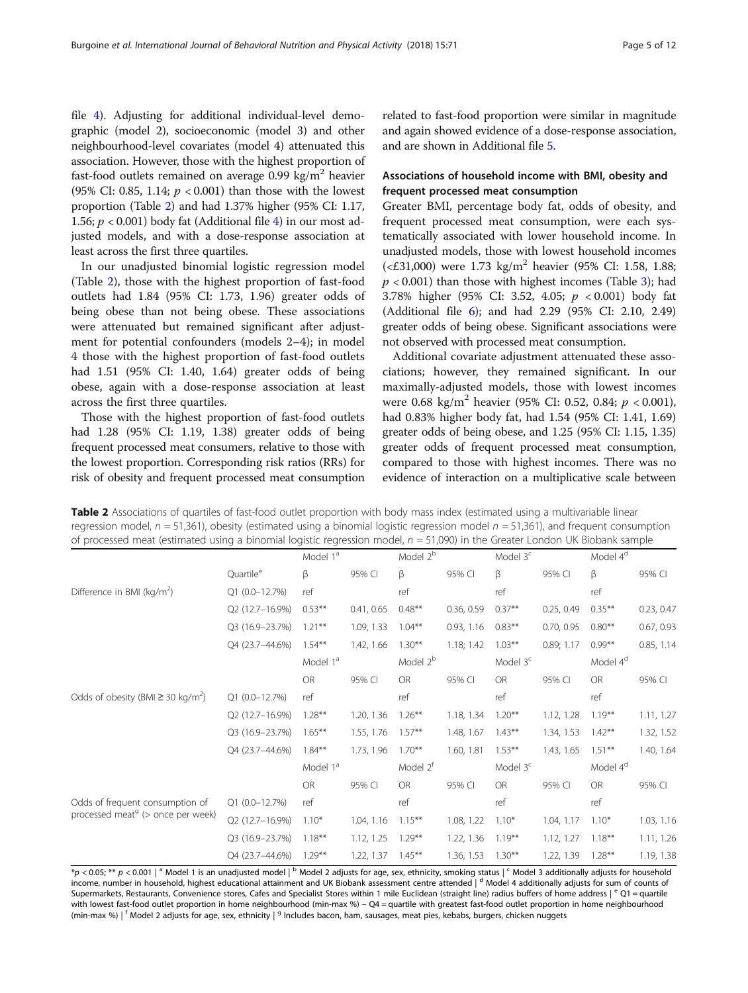<span id="page-4-0"></span>file [4](#page-8-0)). Adjusting for additional individual-level demographic (model 2), socioeconomic (model 3) and other neighbourhood-level covariates (model 4) attenuated this association. However, those with the highest proportion of fast-food outlets remained on average  $0.99 \text{ kg/m}^2$  heavier (95% CI: 0.85, 1.14;  $p < 0.001$ ) than those with the lowest proportion (Table 2) and had 1.37% higher (95% CI: 1.17, 1.56;  $p < 0.001$ ) body fat (Additional file [4](#page-8-0)) in our most adjusted models, and with a dose-response association at least across the first three quartiles.

In our unadjusted binomial logistic regression model (Table 2), those with the highest proportion of fast-food outlets had 1.84 (95% CI: 1.73, 1.96) greater odds of being obese than not being obese. These associations were attenuated but remained significant after adjustment for potential confounders (models 2–4); in model 4 those with the highest proportion of fast-food outlets had 1.51 (95% CI: 1.40, 1.64) greater odds of being obese, again with a dose-response association at least across the first three quartiles.

Those with the highest proportion of fast-food outlets had 1.28 (95% CI: 1.19, 1.38) greater odds of being frequent processed meat consumers, relative to those with the lowest proportion. Corresponding risk ratios (RRs) for risk of obesity and frequent processed meat consumption

related to fast-food proportion were similar in magnitude and again showed evidence of a dose-response association, and are shown in Additional file [5.](#page-8-0)

## Associations of household income with BMI, obesity and frequent processed meat consumption

Greater BMI, percentage body fat, odds of obesity, and frequent processed meat consumption, were each systematically associated with lower household income. In unadjusted models, those with lowest household incomes (<£31,000) were 1.73 kg/m2 heavier (95% CI: 1.58, 1.88;  $p < 0.001$ ) than those with highest incomes (Table [3](#page-5-0)); had 3.78% higher (95% CI: 3.52, 4.05; p < 0.001) body fat (Additional file [6](#page-8-0)); and had 2.29 (95% CI: 2.10, 2.49) greater odds of being obese. Significant associations were not observed with processed meat consumption.

Additional covariate adjustment attenuated these associations; however, they remained significant. In our maximally-adjusted models, those with lowest incomes were 0.68 kg/m<sup>2</sup> heavier (95% CI: 0.52, 0.84;  $p < 0.001$ ), had 0.83% higher body fat, had 1.54 (95% CI: 1.41, 1.69) greater odds of being obese, and 1.25 (95% CI: 1.15, 1.35) greater odds of frequent processed meat consumption, compared to those with highest incomes. There was no evidence of interaction on a multiplicative scale between

Table 2 Associations of quartiles of fast-food outlet proportion with body mass index (estimated using a multivariable linear regression model,  $n = 51,361$ , obesity (estimated using a binomial logistic regression model  $n = 51,361$ ), and frequent consumption of processed meat (estimated using a binomial logistic regression model,  $n = 51,090$ ) in the Greater London UK Biobank sample

|                                                    |                       | Model 1 <sup>ª</sup> |            | Model $2^b$          |            | Model $3c$ |            | Model $4^d$          |            |
|----------------------------------------------------|-----------------------|----------------------|------------|----------------------|------------|------------|------------|----------------------|------------|
|                                                    | Quartile <sup>e</sup> | β                    | 95% CI     | β                    | 95% CI     | β          | 95% CI     | β                    | 95% CI     |
| Difference in BMI ( $kg/m2$ )                      | Q1 (0.0-12.7%)        | ref                  |            | ref                  |            | ref        |            | ref                  |            |
|                                                    | Q2 (12.7-16.9%)       | $0.53***$            | 0.41, 0.65 | $0.48***$            | 0.36, 0.59 | $0.37***$  | 0.25, 0.49 | $0.35***$            | 0.23, 0.47 |
|                                                    | Q3 (16.9-23.7%)       | $1.21***$            | 1.09, 1.33 | $1.04***$            | 0.93, 1.16 | $0.83***$  | 0.70, 0.95 | $0.80**$             | 0.67, 0.93 |
|                                                    | Q4 (23.7-44.6%)       | $1.54***$            | 1.42, 1.66 | $1.30***$            | 1.18; 1.42 | $1.03***$  | 0.89; 1.17 | $0.99**$             | 0.85, 1.14 |
|                                                    |                       | Model 1 <sup>ª</sup> |            | Model 2 <sup>b</sup> |            | Model $3c$ |            | Model 4 <sup>d</sup> |            |
|                                                    |                       | <b>OR</b>            | 95% CI     | <b>OR</b>            | 95% CI     | <b>OR</b>  | 95% CI     | <b>OR</b>            | 95% CI     |
| Odds of obesity (BMI $\geq$ 30 kg/m <sup>2</sup> ) | Q1 (0.0-12.7%)        | ref                  |            | ref                  |            | ref        |            | ref                  |            |
|                                                    | Q2 (12.7-16.9%)       | $1.28***$            | 1.20, 1.36 | $1.26***$            | 1.18, 1.34 | $1.20***$  | 1.12, 1.28 | $1.19***$            | 1.11, 1.27 |
|                                                    | Q3 (16.9-23.7%)       | $1.65***$            | 1.55, 1.76 | $1.57***$            | 1.48, 1.67 | $1.43***$  | 1.34, 1.53 | $1.42***$            | 1.32, 1.52 |
|                                                    | Q4 (23.7-44.6%)       | $1.84***$            | 1.73, 1.96 | $1.70**$             | 1.60, 1.81 | $1.53***$  | 1.43, 1.65 | $1.51***$            | 1.40, 1.64 |
|                                                    |                       | Model 1 <sup>ª</sup> |            | Model $2^{\dagger}$  |            | Model $3c$ |            | Model 4 <sup>d</sup> |            |
|                                                    |                       | <b>OR</b>            | 95% CI     | <b>OR</b>            | 95% CI     | OR         | 95% CI     | <b>OR</b>            | 95% CI     |
| Odds of frequent consumption of                    | Q1 (0.0-12.7%)        | ref                  |            | ref                  |            | ref        |            | ref                  |            |
| processed meat <sup>9</sup> ( $>$ once per week)   | Q2 (12.7-16.9%)       | $1.10*$              | 1.04, 1.16 | $1.15***$            | 1.08, 1.22 | $1.10*$    | 1.04, 1.17 | $1.10*$              | 1.03, 1.16 |
|                                                    | Q3 (16.9-23.7%)       | $1.18***$            | 1.12, 1.25 | $1.29***$            | 1.22, 1.36 | $1.19***$  | 1.12, 1.27 | $1.18***$            | 1.11, 1.26 |
|                                                    | Q4 (23.7-44.6%)       | $1.29***$            | 1.22, 1.37 | $1.45***$            | 1.36, 1.53 | $1.30***$  | 1.22, 1.39 | $1.28***$            | 1.19, 1.38 |

 $p < 0.05$ ; \*\* p < 0.001 | a Model 1 is an unadjusted model | b Model 2 adjusts for age, sex, ethnicity, smoking status | c Model 3 additionally adjusts for household income, number in household, highest educational attainment and UK Biobank assessment centre attended | d Model 4 additionally adjusts for sum of counts of Supermarkets, Restaurants, Convenience stores, Cafes and Specialist Stores within 1 mile Euclidean (straight line) radius buffers of home address  $\mid e$  q = quartile with lowest fast-food outlet proportion in home neighbourhood (min-max %) – Q4 = quartile with greatest fast-food outlet proportion in home neighbourhood (min-max %) |<sup>f</sup> Model 2 adjusts for age, sex, ethnicity | <sup>g</sup> Includes bacon, ham, sausages, meat pies, kebabs, burgers, chicken nuggets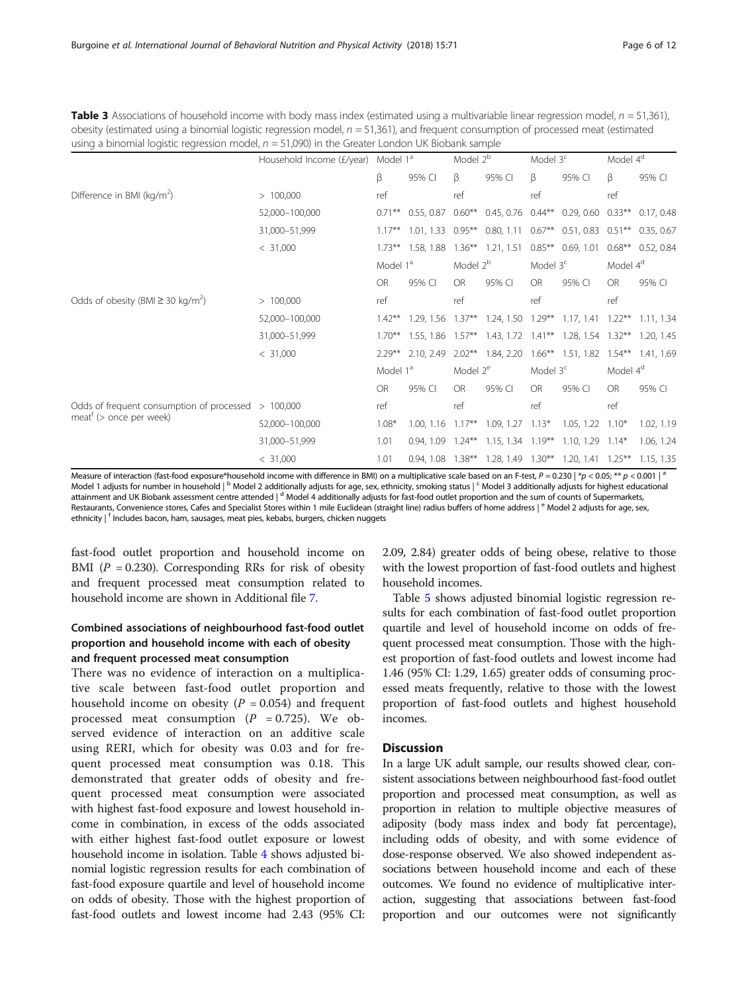<span id="page-5-0"></span>**Table 3** Associations of household income with body mass index (estimated using a multivariable linear regression model,  $n = 51,361$ ), obesity (estimated using a binomial logistic regression model,  $n = 51,361$ ), and frequent consumption of processed meat (estimated using a binomial logistic regression model,  $n = 51,090$ ) in the Greater London UK Biobank sample

|                                                           | Household Income (£/year)                             | Model 1 <sup>a</sup> |                                     | Model 2 <sup>b</sup> |                                     | Model $3c$                                                                                                                                                      |                                                                  | Model 4 <sup>d</sup> |                      |
|-----------------------------------------------------------|-------------------------------------------------------|----------------------|-------------------------------------|----------------------|-------------------------------------|-----------------------------------------------------------------------------------------------------------------------------------------------------------------|------------------------------------------------------------------|----------------------|----------------------|
|                                                           |                                                       | β                    | 95% CI                              | β                    | 95% CI                              | β                                                                                                                                                               | 95% CI                                                           | β                    | 95% CI               |
| Difference in BMI (kg/m <sup>2</sup> )                    | >100,000                                              | ref                  |                                     | ref                  |                                     | ref                                                                                                                                                             |                                                                  | ref                  |                      |
|                                                           | 52,000-100,000                                        | $0.71***$            |                                     |                      | $0.55, 0.87$ $0.60^{**}$ 0.45, 0.76 | $0.44***$                                                                                                                                                       | 0.29, 0.60 0.33** 0.17, 0.48                                     |                      |                      |
|                                                           | 31,000-51,999                                         | $1.17***$            |                                     |                      | $1.01, 1.33$ $0.95***$ 0.80, 1.11   |                                                                                                                                                                 | $0.67***$ 0.51, 0.83                                             |                      | $0.51***$ 0.35, 0.67 |
|                                                           | < 31,000                                              |                      | 1.73** 1.58, 1.88 1.36** 1.21, 1.51 |                      |                                     | $0.85***$ 0.69, 1.01<br>Model $3c$<br><b>OR</b><br>95% CI<br><b>OR</b><br>ref<br>ref<br>1.42** 1.29, 1.56 1.37** 1.24, 1.50 1.29** 1.17, 1.41 1.22** 1.11, 1.34 | $0.68***$ 0.52, 0.84                                             |                      |                      |
|                                                           | Model 1 <sup>a</sup><br><b>OR</b><br>ref<br>> 100,000 |                      |                                     | Model 2 <sup>b</sup> |                                     |                                                                                                                                                                 |                                                                  | Model 4 <sup>d</sup> |                      |
|                                                           |                                                       |                      | 95% CI                              | <b>OR</b>            | 95% CI                              |                                                                                                                                                                 |                                                                  |                      | 95% CI               |
| Odds of obesity (BMI $\geq$ 30 kg/m <sup>2</sup> )        |                                                       |                      |                                     | ref                  |                                     |                                                                                                                                                                 |                                                                  |                      |                      |
|                                                           | 52,000-100,000                                        |                      |                                     |                      |                                     |                                                                                                                                                                 |                                                                  |                      |                      |
|                                                           | 31,000-51,999                                         | $1.70***$            |                                     |                      |                                     |                                                                                                                                                                 | 1.55, 1.86 1.57** 1.43, 1.72 1.41** 1.28, 1.54 1.32** 1.20, 1.45 |                      |                      |
|                                                           | < 31,000                                              | $2.29**$             |                                     |                      | 2.10, 2.49 2.02** 1.84, 2.20        |                                                                                                                                                                 | 1.66** 1.51, 1.82 1.54** 1.41, 1.69                              |                      |                      |
|                                                           |                                                       | Model 1 <sup>a</sup> |                                     | Model 2 <sup>e</sup> |                                     | Model $3c$                                                                                                                                                      |                                                                  | Model 4 <sup>d</sup> |                      |
|                                                           |                                                       | <b>OR</b>            | 95% CI                              | <b>OR</b>            | 95% CI                              | <b>OR</b>                                                                                                                                                       | 95% CI                                                           | OR                   | 95% CI               |
| Odds of frequent consumption of processed $> 100,000$     |                                                       | ref                  |                                     | ref                  |                                     | ref                                                                                                                                                             |                                                                  | ref                  |                      |
| meat <sup><math>\bar{t}</math></sup> ( $>$ once per week) | 52,000-100,000                                        | $1.08*$              |                                     |                      | 1.00, 1.16 1.17** 1.09, 1.27        | $1.13*$                                                                                                                                                         | 1.05, 1.22                                                       | $1.10*$              | 1.02, 1.19           |
|                                                           | 31,000-51,999                                         | 1.01                 | 0.94, 1.09                          |                      | $1.24***$ 1.15, 1.34 1.19**         |                                                                                                                                                                 | 1.10, 1.29                                                       | $1.14*$              | 1.06, 1.24           |
|                                                           | < 31,000                                              | 1.01                 |                                     |                      |                                     |                                                                                                                                                                 | 0.94, 1.08 1.38** 1.28, 1.49 1.30** 1.20, 1.41 1.25** 1.15, 1.35 |                      |                      |

Measure of interaction (fast-food exposure\*household income with difference in BMI) on a multiplicative scale based on an F-test,  $P = 0.230 \mid {}^*p < 0.05;$  \*\*  $p < 0.001 \mid {}^*$ Model 1 adjusts for number in household | <sup>b</sup> Model 2 additionally adjusts for age, sex, ethnicity, smoking status | <sup>c</sup> Model 3 additionally adjusts for highest educational attainment and UK Biobank assessment centre attended | d Model 4 additionally adjusts for fast-food outlet proportion and the sum of counts of Supermarkets, Restaurants, Convenience stores, Cafes and Specialist Stores within 1 mile Euclidean (straight line) radius buffers of home address | e Model 2 adjusts for age, sex, ethnicity | <sup>f</sup> Includes bacon, ham, sausages, meat pies, kebabs, burgers, chicken nuggets

fast-food outlet proportion and household income on BMI ( $P = 0.230$ ). Corresponding RRs for risk of obesity and frequent processed meat consumption related to household income are shown in Additional file [7](#page-8-0).

## Combined associations of neighbourhood fast-food outlet proportion and household income with each of obesity and frequent processed meat consumption

There was no evidence of interaction on a multiplicative scale between fast-food outlet proportion and household income on obesity ( $P = 0.054$ ) and frequent processed meat consumption  $(P = 0.725)$ . We observed evidence of interaction on an additive scale using RERI, which for obesity was 0.03 and for frequent processed meat consumption was 0.18. This demonstrated that greater odds of obesity and frequent processed meat consumption were associated with highest fast-food exposure and lowest household income in combination, in excess of the odds associated with either highest fast-food outlet exposure or lowest household income in isolation. Table [4](#page-6-0) shows adjusted binomial logistic regression results for each combination of fast-food exposure quartile and level of household income on odds of obesity. Those with the highest proportion of fast-food outlets and lowest income had 2.43 (95% CI:

2.09, 2.84) greater odds of being obese, relative to those with the lowest proportion of fast-food outlets and highest household incomes.

Table [5](#page-7-0) shows adjusted binomial logistic regression results for each combination of fast-food outlet proportion quartile and level of household income on odds of frequent processed meat consumption. Those with the highest proportion of fast-food outlets and lowest income had 1.46 (95% CI: 1.29, 1.65) greater odds of consuming processed meats frequently, relative to those with the lowest proportion of fast-food outlets and highest household incomes.

## **Discussion**

In a large UK adult sample, our results showed clear, consistent associations between neighbourhood fast-food outlet proportion and processed meat consumption, as well as proportion in relation to multiple objective measures of adiposity (body mass index and body fat percentage), including odds of obesity, and with some evidence of dose-response observed. We also showed independent associations between household income and each of these outcomes. We found no evidence of multiplicative interaction, suggesting that associations between fast-food proportion and our outcomes were not significantly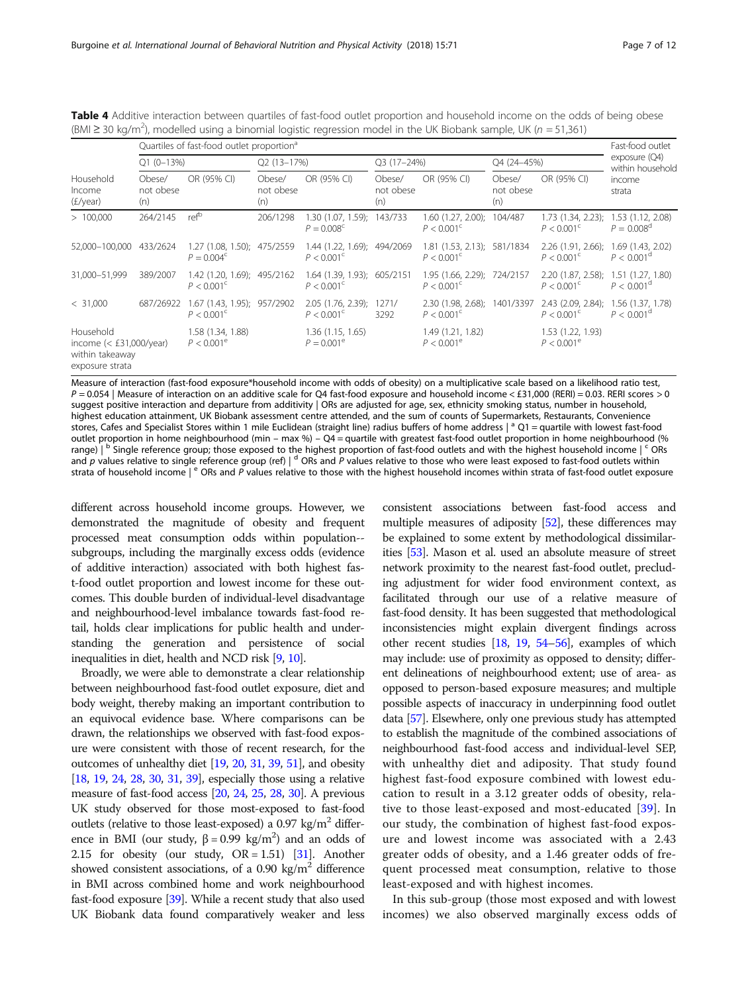<span id="page-6-0"></span>Table 4 Additive interaction between quartiles of fast-food outlet proportion and household income on the odds of being obese (BMI ≥ 30 kg/m<sup>2</sup>), modelled using a binomial logistic regression model in the UK Biobank sample, UK (n = 51,361)

| Household<br>Income<br>(E/year)                                              | Quartiles of fast-food outlet proportion <sup>a</sup> |                                                    |                            |                                                    |                            |                                                    |                            |                                             |                                          |
|------------------------------------------------------------------------------|-------------------------------------------------------|----------------------------------------------------|----------------------------|----------------------------------------------------|----------------------------|----------------------------------------------------|----------------------------|---------------------------------------------|------------------------------------------|
|                                                                              | $Q1(0-13%)$                                           |                                                    | $Q2(13-17%)$               |                                                    | $Q3(17-24%)$               |                                                    | Q4 (24-45%)                |                                             | exposure (Q4)<br>within household        |
|                                                                              | Obese/<br>not obese<br>(n)                            | OR (95% CI)                                        | Obese/<br>not obese<br>(n) | OR (95% CI)                                        | Obese/<br>not obese<br>(n) | OR (95% CI)                                        | Obese/<br>not obese<br>(n) | OR (95% CI)                                 | income<br>strata                         |
| >100,000                                                                     | 264/2145                                              | ref <sup>b</sup>                                   | 206/1298                   | 1.30(1.07, 1.59);<br>$P = 0.008^{\circ}$           | 143/733                    | $1.60$ (1.27, 2.00);<br>$P < 0.001^{\circ}$        | 104/487                    | 1.73 (1.34, 2.23);<br>$P < 0.001^{\circ}$   | 1.53(1.12, 2.08)<br>$P = 0.008^d$        |
| 52,000-100,000                                                               | 433/2624                                              | 1.27 (1.08, 1.50); 475/2559<br>$P = 0.004^{\circ}$ |                            | $1.44$ (1.22, 1.69);<br>$P < 0.001^{\circ}$        | 494/2069                   | 1.81(1.53, 2.13);<br>$P < 0.001^{\circ}$           | 581/1834                   | $2.26$ (1.91, 2.66);<br>$P < 0.001^{\circ}$ | 1.69(1.43, 2.02)<br>$P < 0.001^{\rm d}$  |
| 31,000-51,999                                                                | 389/2007                                              | 1.42 (1.20, 1.69); 495/2162<br>$P < 0.001^{\circ}$ |                            | 1.64 (1.39, 1.93); 605/2151<br>$P < 0.001^{\circ}$ |                            | 1.95 (1.66, 2.29); 724/2157<br>$P < 0.001^{\circ}$ |                            | 2.20 (1.87, 2.58);<br>$P < 0.001^{\circ}$   | 1.51(1.27, 1.80)<br>$P < 0.001^{\rm d}$  |
| < 31,000                                                                     | 687/26922                                             | 1.67 (1.43, 1.95); 957/2902<br>$P < 0.001^{\circ}$ |                            | $2.05$ (1.76, 2.39);<br>$P < 0.001^{\circ}$        | 1271/<br>3292              | $2.30$ (1.98, 2.68);<br>$P < 0.001^{\circ}$        | 1401/3397                  | 2.43 (2.09, 2.84);<br>$P < 0.001^{\circ}$   | 1.56 (1.37, 1.78)<br>$P < 0.001^{\rm d}$ |
| Household<br>income $(<$ £31,000/year)<br>within takeaway<br>exposure strata |                                                       | 1.58 (1.34, 1.88)<br>$P < 0.001^{\circ}$           |                            | 1.36 (1.15, 1.65)<br>$P = 0.001^{\circ}$           |                            | 1.49 (1.21, 1.82)<br>$P < 0.001^{\circ}$           |                            | 1.53 (1.22, 1.93)<br>$P < 0.001^{\circ}$    |                                          |

Measure of interaction (fast-food exposure\*household income with odds of obesity) on a multiplicative scale based on a likelihood ratio test,  $P = 0.054$  | Measure of interaction on an additive scale for Q4 fast-food exposure and household income < £31,000 (RERI) = 0.03. RERI scores > 0 suggest positive interaction and departure from additivity | ORs are adjusted for age, sex, ethnicity smoking status, number in household, highest education attainment, UK Biobank assessment centre attended, and the sum of counts of Supermarkets, Restaurants, Convenience stores, Cafes and Specialist Stores within 1 mile Euclidean (straight line) radius buffers of home address  $\int aQ1 =$  quartile with lowest fast-food outlet proportion in home neighbourhood (min – max %) – Q4 = quartile with greatest fast-food outlet proportion in home neighbourhood (% range) | <sup>b</sup> Single reference group; those exposed to the highest proportion of fast-food outlets and with the highest household income | <sup>c</sup> ORs and p values relative to single reference group (ref)  $\vert$  d ORs and P values relative to those who were least exposed to fast-food outlets within strata of household income  $\mathsf{P}^e$  ORs and P values relative to those with the highest household incomes within strata of fast-food outlet exposure

different across household income groups. However, we demonstrated the magnitude of obesity and frequent processed meat consumption odds within population- subgroups, including the marginally excess odds (evidence of additive interaction) associated with both highest fast-food outlet proportion and lowest income for these outcomes. This double burden of individual-level disadvantage and neighbourhood-level imbalance towards fast-food retail, holds clear implications for public health and understanding the generation and persistence of social inequalities in diet, health and NCD risk [\[9,](#page-9-0) [10\]](#page-9-0).

Broadly, we were able to demonstrate a clear relationship between neighbourhood fast-food outlet exposure, diet and body weight, thereby making an important contribution to an equivocal evidence base. Where comparisons can be drawn, the relationships we observed with fast-food exposure were consistent with those of recent research, for the outcomes of unhealthy diet [[19,](#page-9-0) [20](#page-9-0), [31,](#page-10-0) [39](#page-10-0), [51\]](#page-10-0), and obesity [[18](#page-9-0), [19,](#page-9-0) [24,](#page-10-0) [28](#page-10-0), [30](#page-10-0), [31,](#page-10-0) [39\]](#page-10-0), especially those using a relative measure of fast-food access [\[20,](#page-9-0) [24](#page-10-0), [25,](#page-10-0) [28,](#page-10-0) [30](#page-10-0)]. A previous UK study observed for those most-exposed to fast-food outlets (relative to those least-exposed) a  $0.97 \text{ kg/m}^2$  difference in BMI (our study,  $\beta = 0.99$  kg/m<sup>2</sup>) and an odds of 2.15 for obesity (our study,  $OR = 1.51$ ) [\[31\]](#page-10-0). Another showed consistent associations, of a 0.90 kg/m<sup>2</sup> difference in BMI across combined home and work neighbourhood fast-food exposure [[39](#page-10-0)]. While a recent study that also used UK Biobank data found comparatively weaker and less

consistent associations between fast-food access and multiple measures of adiposity [\[52\]](#page-10-0), these differences may be explained to some extent by methodological dissimilarities [\[53](#page-10-0)]. Mason et al. used an absolute measure of street network proximity to the nearest fast-food outlet, precluding adjustment for wider food environment context, as facilitated through our use of a relative measure of fast-food density. It has been suggested that methodological inconsistencies might explain divergent findings across other recent studies [\[18,](#page-9-0) [19](#page-9-0), [54](#page-10-0)–[56\]](#page-10-0), examples of which may include: use of proximity as opposed to density; different delineations of neighbourhood extent; use of area- as opposed to person-based exposure measures; and multiple possible aspects of inaccuracy in underpinning food outlet data [[57](#page-10-0)]. Elsewhere, only one previous study has attempted to establish the magnitude of the combined associations of neighbourhood fast-food access and individual-level SEP, with unhealthy diet and adiposity. That study found highest fast-food exposure combined with lowest education to result in a 3.12 greater odds of obesity, relative to those least-exposed and most-educated [\[39](#page-10-0)]. In our study, the combination of highest fast-food exposure and lowest income was associated with a 2.43 greater odds of obesity, and a 1.46 greater odds of frequent processed meat consumption, relative to those least-exposed and with highest incomes.

In this sub-group (those most exposed and with lowest incomes) we also observed marginally excess odds of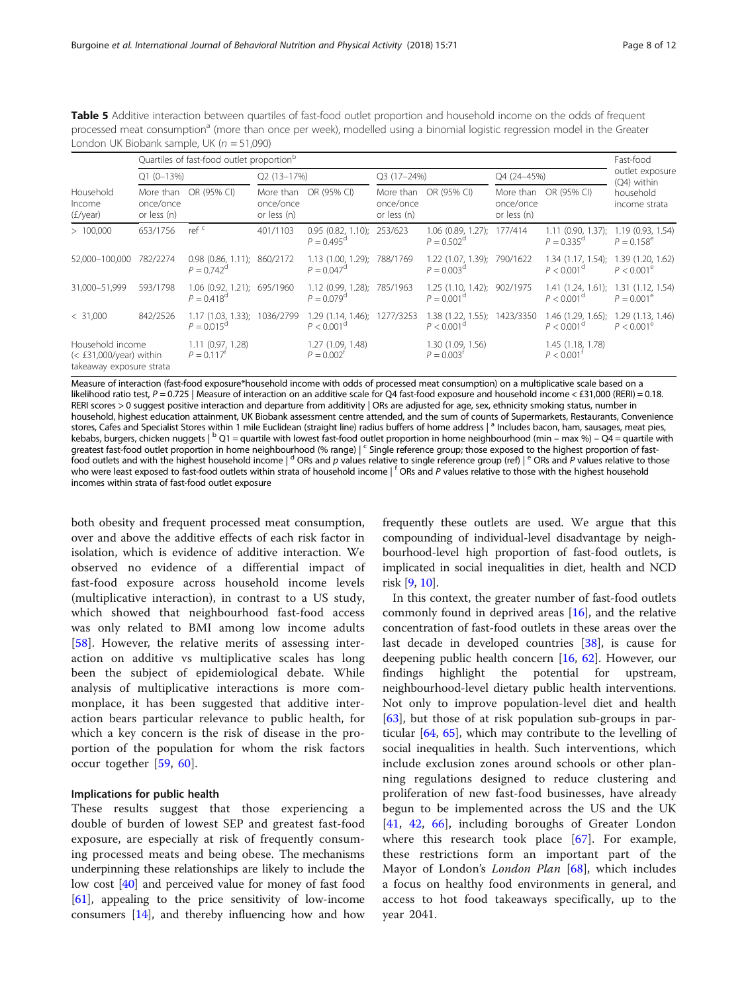<span id="page-7-0"></span>Table 5 Additive interaction between quartiles of fast-food outlet proportion and household income on the odds of frequent processed meat consumption<sup>a</sup> (more than once per week), modelled using a binomial logistic regression model in the Greater London UK Biobank sample, UK ( $n = 51,090$ )

|                                                                           | Quartiles of fast-food outlet proportion <sup>b</sup> |                                               |                                       |                                                     |                          |                                              |                                       |                                                             |                                |
|---------------------------------------------------------------------------|-------------------------------------------------------|-----------------------------------------------|---------------------------------------|-----------------------------------------------------|--------------------------|----------------------------------------------|---------------------------------------|-------------------------------------------------------------|--------------------------------|
|                                                                           | $Q1(0-13%)$                                           |                                               | $Q2(13-17%)$                          |                                                     | $Q3(17-24%)$             |                                              | Q4 (24-45%)                           |                                                             | outlet exposure<br>(Q4) within |
| Household<br>Income<br>(E/year)                                           | More than<br>once/once<br>or less (n)                 | OR (95% CI)                                   | More than<br>once/once<br>or less (n) | OR (95% CI)                                         | once/once<br>or less (n) | More than OR (95% CI)                        | More than<br>once/once<br>or less (n) | OR (95% CI)                                                 | household<br>income strata     |
| >100,000                                                                  | 653/1756                                              | ref <sup>c</sup>                              | 401/1103                              | 0.95 (0.82, 1.10); 253/623<br>$P = 0.495^d$         |                          | 1.06 (0.89, 1.27); 177/414<br>$P = 0.502^d$  |                                       | 1.11 (0.90, 1.37); 1.19 (0.93, 1.54)<br>$P = 0.335^{\circ}$ | $P = 0.158^{\circ}$            |
| 52,000-100,000                                                            | 782/2274                                              | 0.98 (0.86, 1.11); 860/2172<br>$P = 0.742^d$  |                                       | 1.13 (1.00, 1.29); 788/1769<br>$P = 0.047^d$        |                          | 1.22 (1.07, 1.39); 790/1622<br>$P = 0.003^d$ |                                       | 1.34 (1.17, 1.54); 1.39 (1.20, 1.62)<br>$P < 0.001^{\rm d}$ | $P < 0.001^{\circ}$            |
| 31,000-51,999                                                             | 593/1798                                              | 1.06 (0.92, 1.21); 695/1960<br>$P = 0.418^d$  |                                       | $1.12$ (0.99, 1.28);<br>$P = 0.079^d$               | 785/1963                 | 1.25 (1.10, 1.42); 902/1975<br>$P = 0.001^d$ |                                       | 1.41 (1.24, 1.61); 1.31 (1.12, 1.54)<br>$P < 0.001^{\rm d}$ | $P = 0.001^{\circ}$            |
| < 31,000                                                                  | 842/2526                                              | 1.17 (1.03, 1.33); 1036/2799<br>$P = 0.015^d$ |                                       | 1.29 (1.14, 1.46); 1277/3253<br>$P < 0.001^{\rm d}$ |                          | 1.38(1.22, 1.55);<br>$P < 0.001^{\rm d}$     | 1423/3350                             | 1.46 (1.29, 1.65); 1.29 (1.13, 1.46)<br>$P < 0.001^{\rm d}$ | $P < 0.001^{\circ}$            |
| Household income<br>$(<$ £31,000/year) within<br>takeaway exposure strata |                                                       | 1.11 (0.97, 1.28)<br>$P = 0.117^{\dagger}$    |                                       | 1.27 (1.09, 1.48)<br>$P = 0.002^{\dagger}$          |                          | 1.30 (1.09, 1.56)<br>$P = 0.003^{\dagger}$   |                                       | 1.45 (1.18, 1.78)<br>$P < 0.001^{\dagger}$                  |                                |

Measure of interaction (fast-food exposure\*household income with odds of processed meat consumption) on a multiplicative scale based on a likelihood ratio test,  $P = 0.725$  | Measure of interaction on an additive scale for Q4 fast-food exposure and household income < £31,000 (RERI) = 0.18. RERI scores > 0 suggest positive interaction and departure from additivity | ORs are adjusted for age, sex, ethnicity smoking status, number in household, highest education attainment, UK Biobank assessment centre attended, and the sum of counts of Supermarkets, Restaurants, Convenience stores, Cafes and Specialist Stores within 1 mile Euclidean (straight line) radius buffers of home address | a Includes bacon, ham, sausages, meat pies, kebabs, burgers, chicken nuggets |  $b$  Q1 = quartile with lowest fast-food outlet proportion in home neighbourhood (min – max %) – Q4 = quartile with greatest fast-food outlet proportion in home neighbourhood (% range) | c Single reference group; those exposed to the highest proportion of fastfood outlets and with the highest household income  $\vert$  <sup>d</sup> ORs and p values relative to single reference group (ref)  $\vert$  <sup>e</sup> ORs and P values relative to those who were least exposed to fast-food outlets within strata of household income | <sup>f</sup> ORs and P values relative to those with the highest household incomes within strata of fast-food outlet exposure

both obesity and frequent processed meat consumption, over and above the additive effects of each risk factor in isolation, which is evidence of additive interaction. We observed no evidence of a differential impact of fast-food exposure across household income levels (multiplicative interaction), in contrast to a US study, which showed that neighbourhood fast-food access was only related to BMI among low income adults [[58\]](#page-10-0). However, the relative merits of assessing interaction on additive vs multiplicative scales has long been the subject of epidemiological debate. While analysis of multiplicative interactions is more commonplace, it has been suggested that additive interaction bears particular relevance to public health, for which a key concern is the risk of disease in the proportion of the population for whom the risk factors occur together [[59,](#page-10-0) [60\]](#page-10-0).

## Implications for public health

These results suggest that those experiencing a double of burden of lowest SEP and greatest fast-food exposure, are especially at risk of frequently consuming processed meats and being obese. The mechanisms underpinning these relationships are likely to include the low cost [\[40\]](#page-10-0) and perceived value for money of fast food [[61](#page-10-0)], appealing to the price sensitivity of low-income consumers [\[14\]](#page-9-0), and thereby influencing how and how frequently these outlets are used. We argue that this compounding of individual-level disadvantage by neighbourhood-level high proportion of fast-food outlets, is implicated in social inequalities in diet, health and NCD risk [\[9,](#page-9-0) [10](#page-9-0)].

In this context, the greater number of fast-food outlets commonly found in deprived areas [[16\]](#page-9-0), and the relative concentration of fast-food outlets in these areas over the last decade in developed countries [[38\]](#page-10-0), is cause for deepening public health concern [[16,](#page-9-0) [62](#page-10-0)]. However, our findings highlight the potential for upstream, neighbourhood-level dietary public health interventions. Not only to improve population-level diet and health [[63\]](#page-10-0), but those of at risk population sub-groups in particular [\[64](#page-10-0), [65\]](#page-10-0), which may contribute to the levelling of social inequalities in health. Such interventions, which include exclusion zones around schools or other planning regulations designed to reduce clustering and proliferation of new fast-food businesses, have already begun to be implemented across the US and the UK [[41,](#page-10-0) [42](#page-10-0), [66](#page-10-0)], including boroughs of Greater London where this research took place [\[67](#page-11-0)]. For example, these restrictions form an important part of the Mayor of London's *London Plan* [[68\]](#page-11-0), which includes a focus on healthy food environments in general, and access to hot food takeaways specifically, up to the year 2041.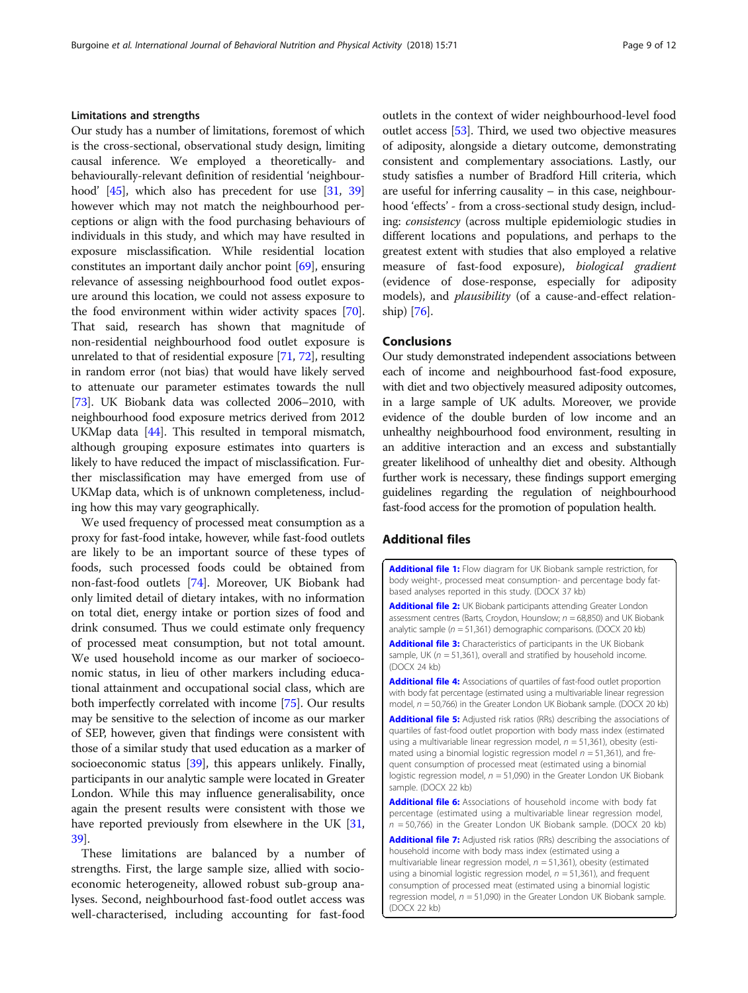## <span id="page-8-0"></span>Limitations and strengths

Our study has a number of limitations, foremost of which is the cross-sectional, observational study design, limiting causal inference. We employed a theoretically- and behaviourally-relevant definition of residential 'neighbour-hood' [\[45](#page-10-0)], which also has precedent for use [[31](#page-10-0), [39](#page-10-0)] however which may not match the neighbourhood perceptions or align with the food purchasing behaviours of individuals in this study, and which may have resulted in exposure misclassification. While residential location constitutes an important daily anchor point [\[69\]](#page-11-0), ensuring relevance of assessing neighbourhood food outlet exposure around this location, we could not assess exposure to the food environment within wider activity spaces [[70](#page-11-0)]. That said, research has shown that magnitude of non-residential neighbourhood food outlet exposure is unrelated to that of residential exposure [\[71](#page-11-0), [72\]](#page-11-0), resulting in random error (not bias) that would have likely served to attenuate our parameter estimates towards the null [[73](#page-11-0)]. UK Biobank data was collected 2006–2010, with neighbourhood food exposure metrics derived from 2012 UKMap data [[44\]](#page-10-0). This resulted in temporal mismatch, although grouping exposure estimates into quarters is likely to have reduced the impact of misclassification. Further misclassification may have emerged from use of UKMap data, which is of unknown completeness, including how this may vary geographically.

We used frequency of processed meat consumption as a proxy for fast-food intake, however, while fast-food outlets are likely to be an important source of these types of foods, such processed foods could be obtained from non-fast-food outlets [\[74\]](#page-11-0). Moreover, UK Biobank had only limited detail of dietary intakes, with no information on total diet, energy intake or portion sizes of food and drink consumed. Thus we could estimate only frequency of processed meat consumption, but not total amount. We used household income as our marker of socioeconomic status, in lieu of other markers including educational attainment and occupational social class, which are both imperfectly correlated with income [[75](#page-11-0)]. Our results may be sensitive to the selection of income as our marker of SEP, however, given that findings were consistent with those of a similar study that used education as a marker of socioeconomic status [\[39\]](#page-10-0), this appears unlikely. Finally, participants in our analytic sample were located in Greater London. While this may influence generalisability, once again the present results were consistent with those we have reported previously from elsewhere in the UK [[31](#page-10-0), [39](#page-10-0)].

These limitations are balanced by a number of strengths. First, the large sample size, allied with socioeconomic heterogeneity, allowed robust sub-group analyses. Second, neighbourhood fast-food outlet access was well-characterised, including accounting for fast-food

outlets in the context of wider neighbourhood-level food outlet access [\[53\]](#page-10-0). Third, we used two objective measures of adiposity, alongside a dietary outcome, demonstrating consistent and complementary associations. Lastly, our study satisfies a number of Bradford Hill criteria, which are useful for inferring causality – in this case, neighbourhood 'effects' - from a cross-sectional study design, including: consistency (across multiple epidemiologic studies in different locations and populations, and perhaps to the greatest extent with studies that also employed a relative measure of fast-food exposure), biological gradient (evidence of dose-response, especially for adiposity models), and *plausibility* (of a cause-and-effect relationship) [\[76\]](#page-11-0).

## Conclusions

Our study demonstrated independent associations between each of income and neighbourhood fast-food exposure, with diet and two objectively measured adiposity outcomes, in a large sample of UK adults. Moreover, we provide evidence of the double burden of low income and an unhealthy neighbourhood food environment, resulting in an additive interaction and an excess and substantially greater likelihood of unhealthy diet and obesity. Although further work is necessary, these findings support emerging guidelines regarding the regulation of neighbourhood fast-food access for the promotion of population health.

## Additional files

[Additional file 1:](https://doi.org/10.1186/s12966-018-0699-8) Flow diagram for UK Biobank sample restriction, for body weight-, processed meat consumption- and percentage body fatbased analyses reported in this study. (DOCX 37 kb)

[Additional file 2:](https://doi.org/10.1186/s12966-018-0699-8) UK Biobank participants attending Greater London assessment centres (Barts, Croydon, Hounslow;  $n = 68,850$ ) and UK Biobank analytic sample ( $n = 51,361$ ) demographic comparisons. (DOCX 20 kb)

[Additional file 3:](https://doi.org/10.1186/s12966-018-0699-8) Characteristics of participants in the UK Biobank sample, UK ( $n = 51,361$ ), overall and stratified by household income. (DOCX 24 kb)

[Additional file 4:](https://doi.org/10.1186/s12966-018-0699-8) Associations of quartiles of fast-food outlet proportion with body fat percentage (estimated using a multivariable linear regression model,  $n = 50,766$ ) in the Greater London UK Biobank sample. (DOCX 20 kb)

[Additional file 5:](https://doi.org/10.1186/s12966-018-0699-8) Adjusted risk ratios (RRs) describing the associations of quartiles of fast-food outlet proportion with body mass index (estimated using a multivariable linear regression model,  $n = 51,361$ ), obesity (estimated using a binomial logistic regression model  $n = 51,361$ ), and frequent consumption of processed meat (estimated using a binomial logistic regression model,  $n = 51,090$ ) in the Greater London UK Biobank sample. (DOCX 22 kb)

[Additional file 6:](https://doi.org/10.1186/s12966-018-0699-8) Associations of household income with body fat percentage (estimated using a multivariable linear regression model,  $n = 50.766$ ) in the Greater London UK Biobank sample. (DOCX 20 kb)

[Additional file 7:](https://doi.org/10.1186/s12966-018-0699-8) Adjusted risk ratios (RRs) describing the associations of household income with body mass index (estimated using a multivariable linear regression model,  $n = 51,361$ ), obesity (estimated using a binomial logistic regression model,  $n = 51,361$ ), and frequent consumption of processed meat (estimated using a binomial logistic regression model,  $n = 51,090$ ) in the Greater London UK Biobank sample. (DOCX 22 kb)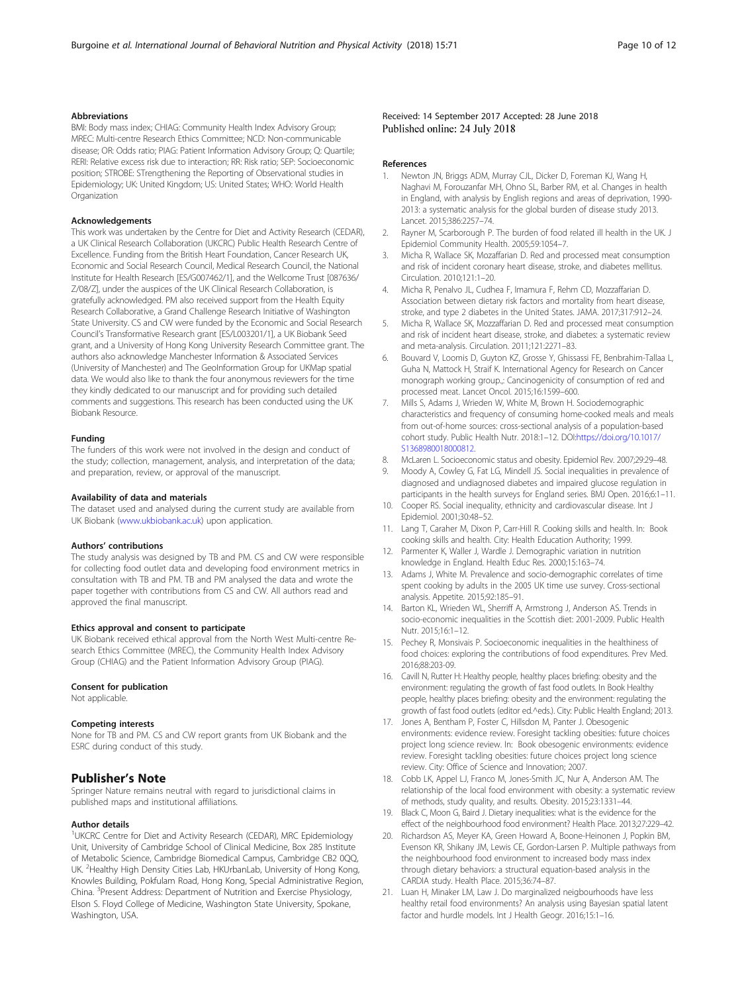## <span id="page-9-0"></span>Abbreviations

BMI: Body mass index; CHIAG: Community Health Index Advisory Group; MREC: Multi-centre Research Ethics Committee; NCD: Non-communicable disease; OR: Odds ratio; PIAG: Patient Information Advisory Group; Q: Quartile; RERI: Relative excess risk due to interaction; RR: Risk ratio; SEP: Socioeconomic position; STROBE: STrengthening the Reporting of Observational studies in Epidemiology; UK: United Kingdom; US: United States; WHO: World Health Organization

#### Acknowledgements

This work was undertaken by the Centre for Diet and Activity Research (CEDAR), a UK Clinical Research Collaboration (UKCRC) Public Health Research Centre of Excellence. Funding from the British Heart Foundation, Cancer Research UK, Economic and Social Research Council, Medical Research Council, the National Institute for Health Research [ES/G007462/1], and the Wellcome Trust [087636/ Z/08/Z], under the auspices of the UK Clinical Research Collaboration, is gratefully acknowledged. PM also received support from the Health Equity Research Collaborative, a Grand Challenge Research Initiative of Washington State University. CS and CW were funded by the Economic and Social Research Council's Transformative Research grant [ES/L003201/1], a UK Biobank Seed grant, and a University of Hong Kong University Research Committee grant. The authors also acknowledge Manchester Information & Associated Services (University of Manchester) and The GeoInformation Group for UKMap spatial data. We would also like to thank the four anonymous reviewers for the time they kindly dedicated to our manuscript and for providing such detailed comments and suggestions. This research has been conducted using the UK Biobank Resource.

#### Funding

The funders of this work were not involved in the design and conduct of the study; collection, management, analysis, and interpretation of the data; and preparation, review, or approval of the manuscript.

#### Availability of data and materials

The dataset used and analysed during the current study are available from UK Biobank [\(www.ukbiobank.ac.uk](http://www.ukbiobank.ac.uk)) upon application.

#### Authors' contributions

The study analysis was designed by TB and PM. CS and CW were responsible for collecting food outlet data and developing food environment metrics in consultation with TB and PM. TB and PM analysed the data and wrote the paper together with contributions from CS and CW. All authors read and approved the final manuscript.

#### Ethics approval and consent to participate

UK Biobank received ethical approval from the North West Multi-centre Research Ethics Committee (MREC), the Community Health Index Advisory Group (CHIAG) and the Patient Information Advisory Group (PIAG).

#### Consent for publication

Not applicable.

#### Competing interests

None for TB and PM. CS and CW report grants from UK Biobank and the ESRC during conduct of this study.

## Publisher's Note

Springer Nature remains neutral with regard to jurisdictional claims in published maps and institutional affiliations.

#### Author details

<sup>1</sup>UKCRC Centre for Diet and Activity Research (CEDAR), MRC Epidemiology Unit, University of Cambridge School of Clinical Medicine, Box 285 Institute of Metabolic Science, Cambridge Biomedical Campus, Cambridge CB2 0QQ, UK. <sup>2</sup> Healthy High Density Cities Lab, HKUrbanLab, University of Hong Kong, Knowles Building, Pokfulam Road, Hong Kong, Special Administrative Region, China. <sup>3</sup> Present Address: Department of Nutrition and Exercise Physiology, Elson S. Floyd College of Medicine, Washington State University, Spokane, Washington, USA.

## Received: 14 September 2017 Accepted: 28 June 2018 Published online: 24 July 2018

#### References

- 1. Newton JN, Briggs ADM, Murray CJL, Dicker D, Foreman KJ, Wang H, Naghavi M, Forouzanfar MH, Ohno SL, Barber RM, et al. Changes in health in England, with analysis by English regions and areas of deprivation, 1990- 2013: a systematic analysis for the global burden of disease study 2013. Lancet. 2015;386:2257–74.
- 2. Rayner M, Scarborough P. The burden of food related ill health in the UK. J Epidemiol Community Health. 2005;59:1054–7.
- 3. Micha R, Wallace SK, Mozaffarian D. Red and processed meat consumption and risk of incident coronary heart disease, stroke, and diabetes mellitus. Circulation. 2010;121:1–20.
- 4. Micha R, Penalvo JL, Cudhea F, Imamura F, Rehm CD, Mozzaffarian D. Association between dietary risk factors and mortality from heart disease, stroke, and type 2 diabetes in the United States. JAMA. 2017;317:912–24.
- 5. Micha R, Wallace SK, Mozzaffarian D. Red and processed meat consumption and risk of incident heart disease, stroke, and diabetes: a systematic review and meta-analysis. Circulation. 2011;121:2271–83.
- 6. Bouvard V, Loomis D, Guyton KZ, Grosse Y, Ghissassi FE, Benbrahim-Tallaa L, Guha N, Mattock H, Straif K. International Agency for Research on Cancer monograph working group.,: Cancinogenicity of consumption of red and processed meat. Lancet Oncol. 2015;16:1599–600.
- Mills S, Adams J, Wrieden W, White M, Brown H. Sociodemographic characteristics and frequency of consuming home-cooked meals and meals from out-of-home sources: cross-sectional analysis of a population-based cohort study. Public Health Nutr. 2018:1–12. DOI[:https://doi.org/10.1017/](https://doi.org/10.1017/S1368980018000812) [S1368980018000812.](https://doi.org/10.1017/S1368980018000812)
- 8. McLaren L. Socioeconomic status and obesity. Epidemiol Rev. 2007;29:29–48.
- 9. Moody A, Cowley G, Fat LG, Mindell JS. Social inequalities in prevalence of diagnosed and undiagnosed diabetes and impaired glucose regulation in participants in the health surveys for England series. BMJ Open. 2016;6:1–11.
- 10. Cooper RS. Social inequality, ethnicity and cardiovascular disease. Int J Epidemiol. 2001;30:48–52.
- 11. Lang T, Caraher M, Dixon P, Carr-Hill R. Cooking skills and health. In: Book cooking skills and health. City: Health Education Authority; 1999.
- 12. Parmenter K, Waller J, Wardle J. Demographic variation in nutrition knowledge in England. Health Educ Res. 2000;15:163–74.
- 13. Adams J, White M. Prevalence and socio-demographic correlates of time spent cooking by adults in the 2005 UK time use survey. Cross-sectional analysis. Appetite. 2015;92:185–91.
- 14. Barton KL, Wrieden WL, Sherriff A, Armstrong J, Anderson AS. Trends in socio-economic inequalities in the Scottish diet: 2001-2009. Public Health Nutr. 2015;16:1–12.
- 15. Pechey R, Monsivais P. Socioeconomic inequalities in the healthiness of food choices: exploring the contributions of food expenditures. Prev Med. 2016;88:203-09.
- 16. Cavill N, Rutter H: Healthy people, healthy places briefing: obesity and the environment: regulating the growth of fast food outlets. In Book Healthy people, healthy places briefing: obesity and the environment: regulating the growth of fast food outlets (editor ed.^eds.). City: Public Health England; 2013.
- 17. Jones A, Bentham P, Foster C, Hillsdon M, Panter J. Obesogenic environments: evidence review. Foresight tackling obesities: future choices project long science review. In: Book obesogenic environments: evidence review. Foresight tackling obesities: future choices project long science review. City: Office of Science and Innovation; 2007.
- 18. Cobb LK, Appel LJ, Franco M, Jones-Smith JC, Nur A, Anderson AM. The relationship of the local food environment with obesity: a systematic review of methods, study quality, and results. Obesity. 2015;23:1331–44.
- 19. Black C, Moon G, Baird J. Dietary inequalities: what is the evidence for the effect of the neighbourhood food environment? Health Place. 2013;27:229–42.
- 20. Richardson AS, Meyer KA, Green Howard A, Boone-Heinonen J, Popkin BM, Evenson KR, Shikany JM, Lewis CE, Gordon-Larsen P. Multiple pathways from the neighbourhood food environment to increased body mass index through dietary behaviors: a structural equation-based analysis in the CARDIA study. Health Place. 2015;36:74–87.
- 21. Luan H, Minaker LM, Law J. Do marginalized neigbourhoods have less healthy retail food environments? An analysis using Bayesian spatial latent factor and hurdle models. Int J Health Geogr. 2016;15:1–16.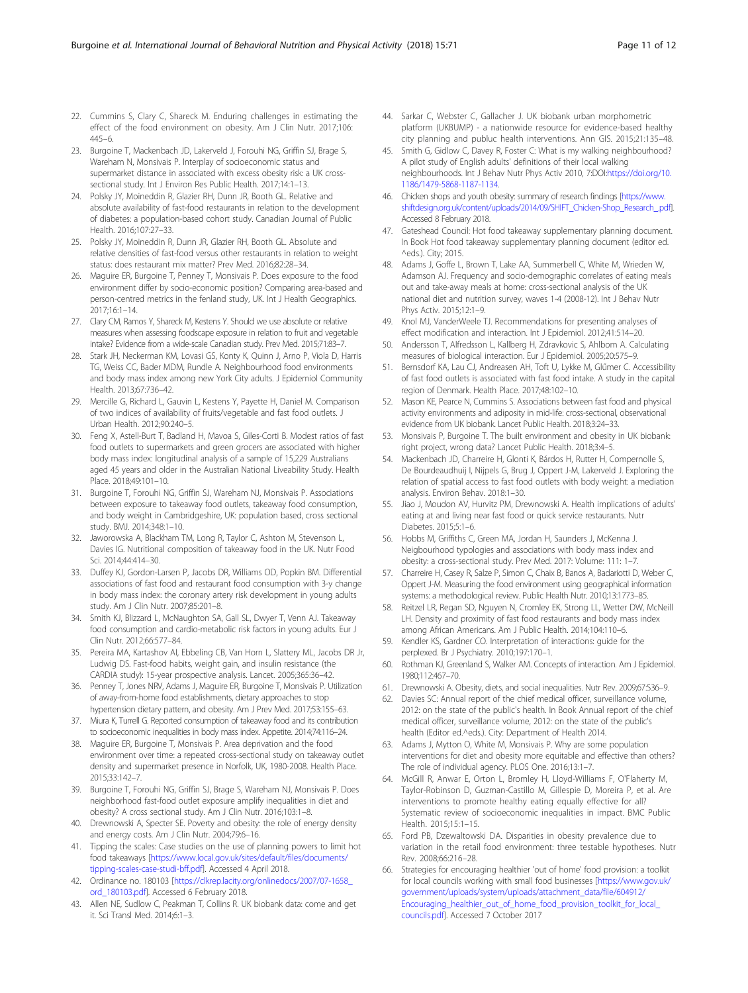- <span id="page-10-0"></span>22. Cummins S, Clary C, Shareck M. Enduring challenges in estimating the effect of the food environment on obesity. Am J Clin Nutr. 2017;106: 445–6.
- 23. Burgoine T, Mackenbach JD, Lakerveld J, Forouhi NG, Griffin SJ, Brage S, Wareham N, Monsivais P. Interplay of socioeconomic status and supermarket distance in associated with excess obesity risk: a UK crosssectional study. Int J Environ Res Public Health. 2017;14:1–13.
- 24. Polsky JY, Moineddin R, Glazier RH, Dunn JR, Booth GL. Relative and absolute availability of fast-food restaurants in relation to the development of diabetes: a population-based cohort study. Canadian Journal of Public Health. 2016;107:27–33.
- 25. Polsky JY, Moineddin R, Dunn JR, Glazier RH, Booth GL. Absolute and relative densities of fast-food versus other restaurants in relation to weight status: does restaurant mix matter? Prev Med. 2016;82:28–34.
- 26. Maguire ER, Burgoine T, Penney T, Monsivais P. Does exposure to the food environment differ by socio-economic position? Comparing area-based and person-centred metrics in the fenland study, UK. Int J Health Geographics. 2017;16:1–14.
- 27. Clary CM, Ramos Y, Shareck M, Kestens Y. Should we use absolute or relative measures when assessing foodscape exposure in relation to fruit and vegetable intake? Evidence from a wide-scale Canadian study. Prev Med. 2015;71:83–7.
- 28. Stark JH, Neckerman KM, Lovasi GS, Konty K, Quinn J, Arno P, Viola D, Harris TG, Weiss CC, Bader MDM, Rundle A. Neighbourhood food environments and body mass index among new York City adults. J Epidemiol Community Health. 2013;67:736–42.
- 29. Mercille G, Richard L, Gauvin L, Kestens Y, Payette H, Daniel M. Comparison of two indices of availability of fruits/vegetable and fast food outlets. J Urban Health. 2012;90:240–5.
- 30. Feng X, Astell-Burt T, Badland H, Mavoa S, Giles-Corti B. Modest ratios of fast food outlets to supermarkets and green grocers are associated with higher body mass index: longitudinal analysis of a sample of 15,229 Australians aged 45 years and older in the Australian National Liveability Study. Health Place. 2018;49:101–10.
- 31. Burgoine T, Forouhi NG, Griffin SJ, Wareham NJ, Monsivais P. Associations between exposure to takeaway food outlets, takeaway food consumption, and body weight in Cambridgeshire, UK: population based, cross sectional study. BMJ. 2014;348:1–10.
- 32. Jaworowska A, Blackham TM, Long R, Taylor C, Ashton M, Stevenson L, Davies IG. Nutritional composition of takeaway food in the UK. Nutr Food Sci. 2014;44:414–30.
- 33. Duffey KJ, Gordon-Larsen P, Jacobs DR, Williams OD, Popkin BM. Differential associations of fast food and restaurant food consumption with 3-y change in body mass index: the coronary artery risk development in young adults study. Am J Clin Nutr. 2007;85:201–8.
- 34. Smith KJ, Blizzard L, McNaughton SA, Gall SL, Dwyer T, Venn AJ. Takeaway food consumption and cardio-metabolic risk factors in young adults. Eur J Clin Nutr. 2012;66:577–84.
- 35. Pereira MA, Kartashov AI, Ebbeling CB, Van Horn L, Slattery ML, Jacobs DR Jr, Ludwig DS. Fast-food habits, weight gain, and insulin resistance (the CARDIA study): 15-year prospective analysis. Lancet. 2005;365:36–42.
- 36. Penney T, Jones NRV, Adams J, Maguire ER, Burgoine T, Monsivais P. Utilization of away-from-home food establishments, dietary approaches to stop hypertension dietary pattern, and obesity. Am J Prev Med. 2017;53:155–63.
- 37. Miura K, Turrell G. Reported consumption of takeaway food and its contribution to socioeconomic inequalities in body mass index. Appetite. 2014;74:116–24.
- 38. Maguire ER, Burgoine T, Monsivais P. Area deprivation and the food environment over time: a repeated cross-sectional study on takeaway outlet density and supermarket presence in Norfolk, UK, 1980-2008. Health Place. 2015;33:142–7.
- 39. Burgoine T, Forouhi NG, Griffin SJ, Brage S, Wareham NJ, Monsivais P. Does neighborhood fast-food outlet exposure amplify inequalities in diet and obesity? A cross sectional study. Am J Clin Nutr. 2016;103:1–8.
- 40. Drewnowski A, Specter SE. Poverty and obesity: the role of energy density and energy costs. Am J Clin Nutr. 2004;79:6–16.
- 41. Tipping the scales: Case studies on the use of planning powers to limit hot food takeaways [\[https://www.local.gov.uk/sites/default/files/documents/](https://www.local.gov.uk/sites/default/files/documents/tipping-scales-case-studi-bff.pdf) [tipping-scales-case-studi-bff.pdf](https://www.local.gov.uk/sites/default/files/documents/tipping-scales-case-studi-bff.pdf)]. Accessed 4 April 2018.
- 42. Ordinance no. 180103 [[https://clkrep.lacity.org/onlinedocs/2007/07-1658\\_](http://clkrep.lacity.org/onlinedocs/2007/07-1658_ord_180103.pdf) [ord\\_180103.pdf](http://clkrep.lacity.org/onlinedocs/2007/07-1658_ord_180103.pdf)]. Accessed 6 February 2018.
- 43. Allen NE, Sudlow C, Peakman T, Collins R. UK biobank data: come and get it. Sci Transl Med. 2014;6:1–3.
- 44. Sarkar C, Webster C, Gallacher J. UK biobank urban morphometric platform (UKBUMP) - a nationwide resource for evidence-based healthy city planning and publuc health interventions. Ann GIS. 2015;21:135–48.
- 45. Smith G, Gidlow C, Davey R, Foster C: What is my walking neighbourhood? A pilot study of English adults' definitions of their local walking neighbourhoods. Int J Behav Nutr Phys Activ 2010, 7:DOI:[https://doi.org/10.](https://doi.org/10.1186/1479-5868-1187-1134) [1186/1479-5868-1187-1134.](https://doi.org/10.1186/1479-5868-1187-1134)
- 46. Chicken shops and youth obesity: summary of research findings [\[https://www.](http://www.shiftdesign.org.uk/content/uploads/2014/09/SHIFT_Chicken-Shop_Research_.pdf) [shiftdesign.org.uk/content/uploads/2014/09/SHIFT\\_Chicken-Shop\\_Research\\_.pdf](http://www.shiftdesign.org.uk/content/uploads/2014/09/SHIFT_Chicken-Shop_Research_.pdf)]. Accessed 8 February 2018.
- 47. Gateshead Council: Hot food takeaway supplementary planning document. In Book Hot food takeaway supplementary planning document (editor ed. ^eds.). City; 2015.
- 48. Adams J, Goffe L, Brown T, Lake AA, Summerbell C, White M, Wrieden W, Adamson AJ. Frequency and socio-demographic correlates of eating meals out and take-away meals at home: cross-sectional analysis of the UK national diet and nutrition survey, waves 1-4 (2008-12). Int J Behav Nutr Phys Activ. 2015;12:1–9.
- 49. Knol MJ, VanderWeele TJ. Recommendations for presenting analyses of effect modification and interaction. Int J Epidemiol. 2012;41:514–20.
- 50. Andersson T, Alfredsson L, Kallberg H, Zdravkovic S, Ahlbom A. Calculating measures of biological interaction. Eur J Epidemiol. 2005;20:575–9.
- 51. Bernsdorf KA, Lau CJ, Andreasen AH, Toft U, Lykke M, Glűmer C. Accessibility of fast food outlets is associated with fast food intake. A study in the capital region of Denmark. Health Place. 2017;48:102–10.
- 52. Mason KE, Pearce N, Cummins S. Associations between fast food and physical activity environments and adiposity in mid-life: cross-sectional, observational evidence from UK biobank. Lancet Public Health. 2018;3:24–33.
- Monsivais P, Burgoine T. The built environment and obesity in UK biobank: right project, wrong data? Lancet Public Health. 2018;3:4–5.
- 54. Mackenbach JD, Charreire H, Glonti K, Bárdos H, Rutter H, Compernolle S, De Bourdeaudhuij I, Nijpels G, Brug J, Oppert J-M, Lakerveld J. Exploring the relation of spatial access to fast food outlets with body weight: a mediation analysis. Environ Behav. 2018:1–30.
- 55. Jiao J, Moudon AV, Hurvitz PM, Drewnowski A. Health implications of adults' eating at and living near fast food or quick service restaurants. Nutr Diabetes. 2015;5:1–6.
- 56. Hobbs M, Griffiths C, Green MA, Jordan H, Saunders J, McKenna J. Neigbourhood typologies and associations with body mass index and obesity: a cross-sectional study. Prev Med. 2017: Volume: 111: 1–7.
- 57. Charreire H, Casey R, Salze P, Simon C, Chaix B, Banos A, Badariotti D, Weber C, Oppert J-M. Measuring the food environment using geographical information systems: a methodological review. Public Health Nutr. 2010;13:1773–85.
- 58. Reitzel LR, Regan SD, Nguyen N, Cromley EK, Strong LL, Wetter DW, McNeill LH. Density and proximity of fast food restaurants and body mass index among African Americans. Am J Public Health. 2014;104:110–6.
- Kendler KS, Gardner CO. Interpretation of interactions: guide for the perplexed. Br J Psychiatry. 2010;197:170–1.
- 60. Rothman KJ, Greenland S, Walker AM. Concepts of interaction. Am J Epidemiol. 1980;112:467–70.
- 61. Drewnowski A. Obesity, diets, and social inequalities. Nutr Rev. 2009;67:S36–9.
- 62. Davies SC: Annual report of the chief medical officer, surveillance volume, 2012: on the state of the public's health. In Book Annual report of the chief medical officer, surveillance volume, 2012: on the state of the public's health (Editor ed.^eds.). City: Department of Health 2014.
- 63. Adams J, Mytton O, White M, Monsivais P. Why are some population interventions for diet and obesity more equitable and effective than others? The role of individual agency. PLOS One. 2016;13:1–7.
- 64. McGill R, Anwar E, Orton L, Bromley H, Lloyd-Williams F, O'Flaherty M, Taylor-Robinson D, Guzman-Castillo M, Gillespie D, Moreira P, et al. Are interventions to promote healthy eating equally effective for all? Systematic review of socioeconomic inequalities in impact. BMC Public Health. 2015;15:1–15.
- 65. Ford PB, Dzewaltowski DA. Disparities in obesity prevalence due to variation in the retail food environment: three testable hypotheses. Nutr Rev. 2008;66:216–28.
- 66. Strategies for encouraging healthier 'out of home' food provision: a toolkit for local councils working with small food businesses [[https://www.gov.uk/](https://www.gov.uk/government/uploads/system/uploads/attachment_data/file/604912/Encouraging_healthier_out_of_home_food_provision_toolkit_for_local_councils.pdf) [government/uploads/system/uploads/attachment\\_data/file/604912/](https://www.gov.uk/government/uploads/system/uploads/attachment_data/file/604912/Encouraging_healthier_out_of_home_food_provision_toolkit_for_local_councils.pdf) [Encouraging\\_healthier\\_out\\_of\\_home\\_food\\_provision\\_toolkit\\_for\\_local\\_](https://www.gov.uk/government/uploads/system/uploads/attachment_data/file/604912/Encouraging_healthier_out_of_home_food_provision_toolkit_for_local_councils.pdf) [councils.pdf\]](https://www.gov.uk/government/uploads/system/uploads/attachment_data/file/604912/Encouraging_healthier_out_of_home_food_provision_toolkit_for_local_councils.pdf). Accessed 7 October 2017